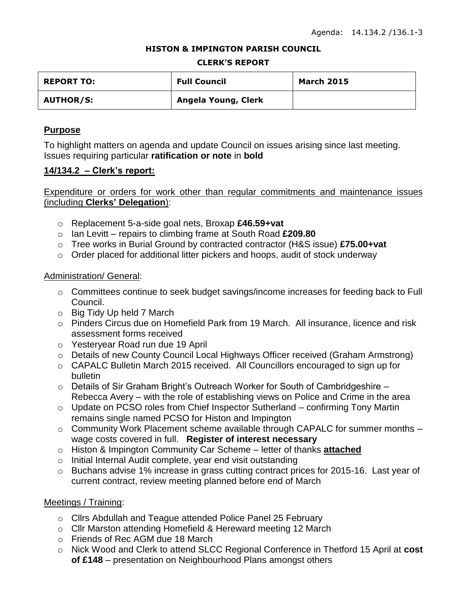#### **HISTON & IMPINGTON PARISH COUNCIL**

#### **CLERK'S REPORT**

| <b>REPORT TO:</b> | <b>Full Council</b> | <b>March 2015</b> |
|-------------------|---------------------|-------------------|
| <b>AUTHOR/S:</b>  | Angela Young, Clerk |                   |

# **Purpose**

To highlight matters on agenda and update Council on issues arising since last meeting. Issues requiring particular **ratification or note** in **bold**

# **14/134.2 – Clerk's report:**

Expenditure or orders for work other than regular commitments and maintenance issues (including **Clerks' Delegation**):

- o Replacement 5-a-side goal nets, Broxap **£46.59+vat**
- o Ian Levitt repairs to climbing frame at South Road **£209.80**
- o Tree works in Burial Ground by contracted contractor (H&S issue) **£75.00+vat**
- o Order placed for additional litter pickers and hoops, audit of stock underway

# Administration/ General:

- o Committees continue to seek budget savings/income increases for feeding back to Full Council.
- o Big Tidy Up held 7 March
- o Pinders Circus due on Homefield Park from 19 March. All insurance, licence and risk assessment forms received
- o Yesteryear Road run due 19 April
- o Details of new County Council Local Highways Officer received (Graham Armstrong)
- o CAPALC Bulletin March 2015 received. All Councillors encouraged to sign up for bulletin
- $\circ$  Details of Sir Graham Bright's Outreach Worker for South of Cambridgeshire Rebecca Avery – with the role of establishing views on Police and Crime in the area
- o Update on PCSO roles from Chief Inspector Sutherland confirming Tony Martin remains single named PCSO for Histon and Impington
- $\circ$  Community Work Placement scheme available through CAPALC for summer months  $$ wage costs covered in full. **Register of interest necessary**
- o Histon & Impington Community Car Scheme letter of thanks **attached**
- o Initial Internal Audit complete, year end visit outstanding
- o Buchans advise 1% increase in grass cutting contract prices for 2015-16. Last year of current contract, review meeting planned before end of March

# Meetings / Training:

- o Cllrs Abdullah and Teague attended Police Panel 25 February
- o Cllr Marston attending Homefield & Hereward meeting 12 March
- o Friends of Rec AGM due 18 March
- o Nick Wood and Clerk to attend SLCC Regional Conference in Thetford 15 April at **cost of £148** – presentation on Neighbourhood Plans amongst others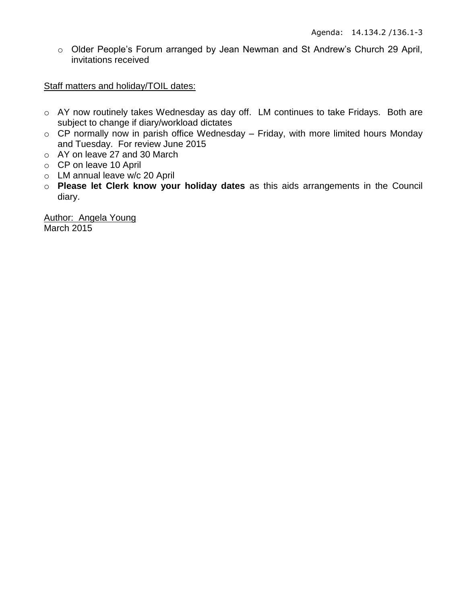o Older People's Forum arranged by Jean Newman and St Andrew's Church 29 April, invitations received

Staff matters and holiday/TOIL dates:

- o AY now routinely takes Wednesday as day off. LM continues to take Fridays. Both are subject to change if diary/workload dictates
- $\circ$  CP normally now in parish office Wednesday Friday, with more limited hours Monday and Tuesday. For review June 2015
- o AY on leave 27 and 30 March
- o CP on leave 10 April
- o LM annual leave w/c 20 April
- o **Please let Clerk know your holiday dates** as this aids arrangements in the Council diary.

Author: Angela Young March 2015